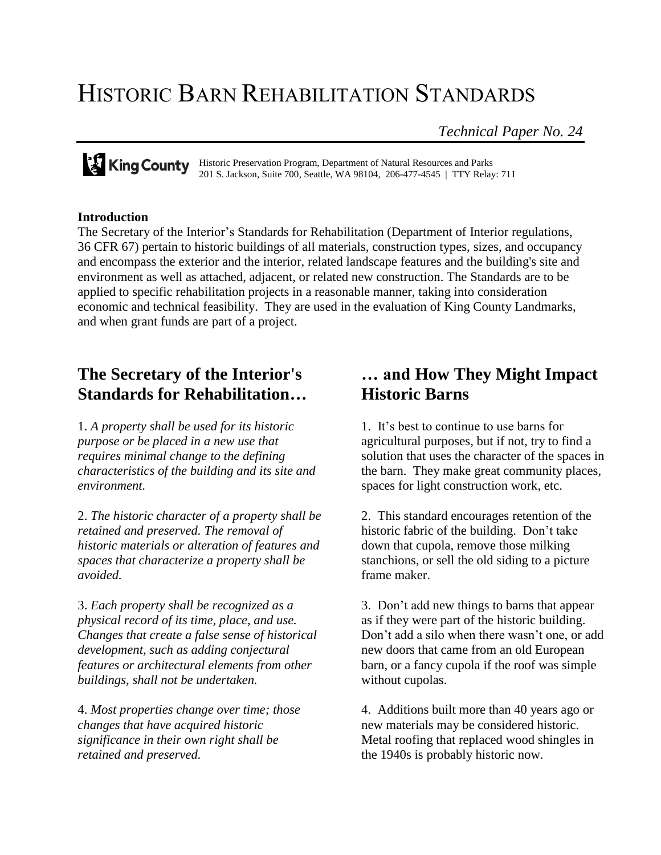## HISTORIC BARN REHABILITATION STANDARDS

*Technical Paper No. 24*

Historic Preservation Program, Department of Natural Resources and Parks 201 S. Jackson, Suite 700, Seattle, WA 98104, 206-477-4545 | TTY Relay: 711

## **Introduction**

The Secretary of the Interior's Standards for Rehabilitation (Department of Interior regulations, 36 CFR 67) pertain to historic buildings of all materials, construction types, sizes, and occupancy and encompass the exterior and the interior, related landscape features and the building's site and environment as well as attached, adjacent, or related new construction. The Standards are to be applied to specific rehabilitation projects in a reasonable manner, taking into consideration economic and technical feasibility. They are used in the evaluation of King County Landmarks, and when grant funds are part of a project.

## **The Secretary of the Interior's Standards for Rehabilitation…**

1. *A property shall be used for its historic purpose or be placed in a new use that requires minimal change to the defining characteristics of the building and its site and environment.*

2. *The historic character of a property shall be retained and preserved. The removal of historic materials or alteration of features and spaces that characterize a property shall be avoided.*

3. *Each property shall be recognized as a physical record of its time, place, and use. Changes that create a false sense of historical development, such as adding conjectural features or architectural elements from other buildings, shall not be undertaken.*

4. *Most properties change over time; those changes that have acquired historic significance in their own right shall be retained and preserved.*

## **… and How They Might Impact Historic Barns**

1. It's best to continue to use barns for agricultural purposes, but if not, try to find a solution that uses the character of the spaces in the barn. They make great community places, spaces for light construction work, etc.

2. This standard encourages retention of the historic fabric of the building. Don't take down that cupola, remove those milking stanchions, or sell the old siding to a picture frame maker.

3. Don't add new things to barns that appear as if they were part of the historic building. Don't add a silo when there wasn't one, or add new doors that came from an old European barn, or a fancy cupola if the roof was simple without cupolas.

4. Additions built more than 40 years ago or new materials may be considered historic. Metal roofing that replaced wood shingles in the 1940s is probably historic now.